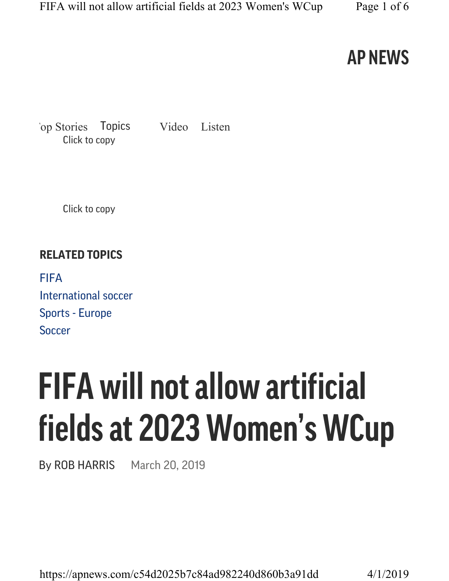### AP NEWS

Click to copy Top Stories Topics Video Listen

Click to copy

#### RELATED TOPICS

**FIFA** International soccer Sports - Europe Soccer

# FIFA will not allow artificial fields at 2023 Women's WCup

By ROB HARRIS March 20, 2019

https://apnews.com/c54d2025b7c84ad982240d860b3a91dd 4/1/2019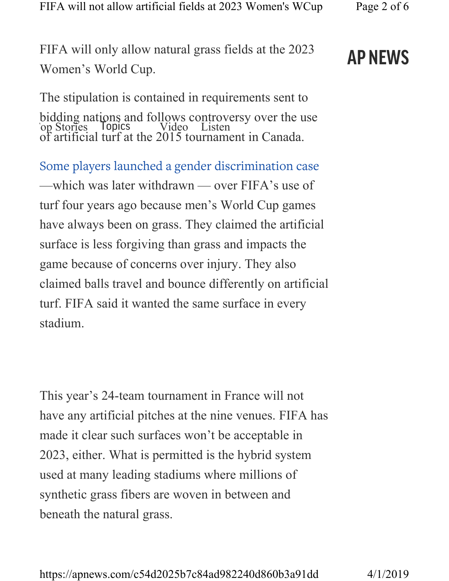FIFA will only allow natural grass fields at the 2023 Women's World Cup.

#### The stipulation is contained in requirements sent to bidding nations and follows controversy over the use of artificial turf at the 2015 tournament in Canada. bidding hat bind to receive Control

Some players launched a gender discrimination case —which was later withdrawn — over FIFA's use of turf four years ago because men's World Cup games have always been on grass. They claimed the artificial surface is less forgiving than grass and impacts the game because of concerns over injury. They also claimed balls travel and bounce differently on artificial turf. FIFA said it wanted the same surface in every stadium.

This year's 24-team tournament in France will not have any artificial pitches at the nine venues. FIFA has made it clear such surfaces won't be acceptable in 2023, either. What is permitted is the hybrid system used at many leading stadiums where millions of synthetic grass fibers are woven in between and beneath the natural grass.

# AP NEWS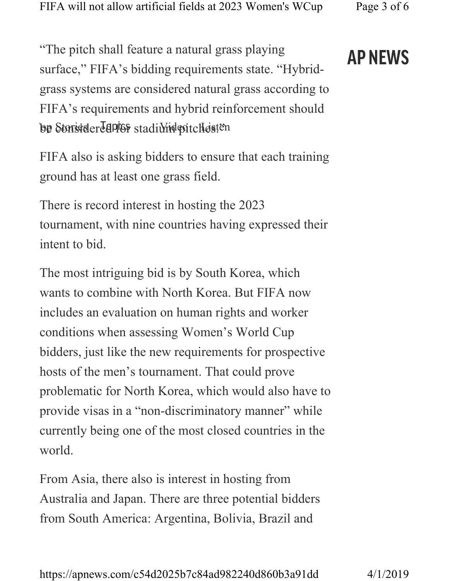"The pitch shall feature a natural grass playing surface," FIFA's bidding requirements state. "Hybrid-

grass systems are considered natural grass according to FIFA's requirements and hybrid reinforcement should

be Storisider Hepfor stadiwind pitches.

FIFA also is asking bidders to ensure that each training ground has at least one grass field.

There is record interest in hosting the 2023 tournament, with nine countries having expressed their intent to bid.

The most intriguing bid is by South Korea, which wants to combine with North Korea. But FIFA now includes an evaluation on human rights and worker conditions when assessing Women's World Cup bidders, just like the new requirements for prospective hosts of the men's tournament. That could prove problematic for North Korea, which would also have to provide visas in a "non-discriminatory manner" while currently being one of the most closed countries in the world.

From Asia, there also is interest in hosting from Australia and Japan. There are three potential bidders from South America: Argentina, Bolivia, Brazil and

# AP NEWS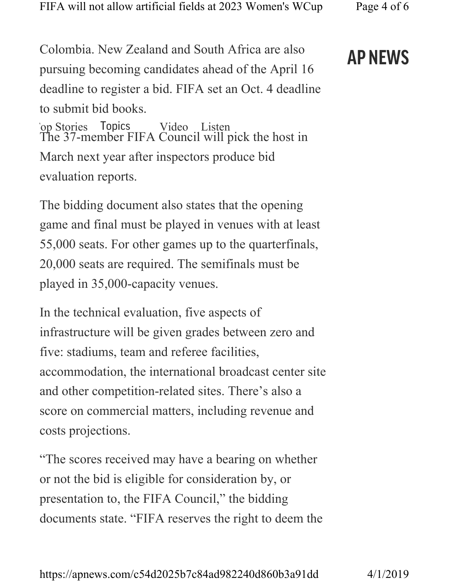Colombia. New Zealand and South Africa are also pursuing becoming candidates ahead of the April 16 deadline to register a bid. FIFA set an Oct. 4 deadline to submit bid books.

The 37-member FIFA Council will pick the host in March next year after inspectors produce bid evaluation reports. `op Stories Topics Video Listen

The bidding document also states that the opening game and final must be played in venues with at least 55,000 seats. For other games up to the quarterfinals, 20,000 seats are required. The semifinals must be played in 35,000-capacity venues.

In the technical evaluation, five aspects of infrastructure will be given grades between zero and five: stadiums, team and referee facilities, accommodation, the international broadcast center site and other competition-related sites. There's also a score on commercial matters, including revenue and costs projections.

"The scores received may have a bearing on whether or not the bid is eligible for consideration by, or presentation to, the FIFA Council," the bidding documents state. "FIFA reserves the right to deem the

## AP NEWS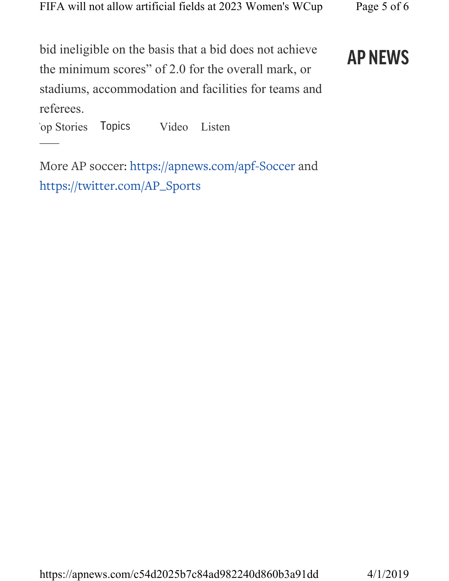bid ineligible on the basis that a bid does not achieve the minimum scores" of 2.0 for the overall mark, or stadiums, accommodation and facilities for teams and referees.

AP NEWS

 $\frac{1}{\sqrt{2}}$ `op Stories Topics Video Listen

More AP soccer: https://apnews.com/apf-Soccer and https://twitter.com/AP\_Sports